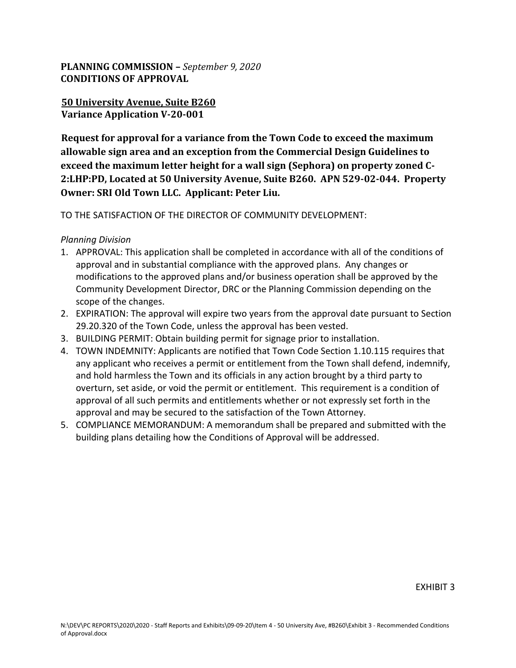## **PLANNING COMMISSION –** *September 9, 2020* **CONDITIONS OF APPROVAL**

## **50 University Avenue, Suite B260 Variance Application V-20-001**

**Request for approval for a variance from the Town Code to exceed the maximum allowable sign area and an exception from the Commercial Design Guidelines to exceed the maximum letter height for a wall sign (Sephora) on property zoned C-2:LHP:PD, Located at 50 University Avenue, Suite B260. APN 529-02-044. Property Owner: SRI Old Town LLC. Applicant: Peter Liu.**

## TO THE SATISFACTION OF THE DIRECTOR OF COMMUNITY DEVELOPMENT:

## *Planning Division*

- 1. APPROVAL: This application shall be completed in accordance with all of the conditions of approval and in substantial compliance with the approved plans. Any changes or modifications to the approved plans and/or business operation shall be approved by the Community Development Director, DRC or the Planning Commission depending on the scope of the changes.
- 2. EXPIRATION: The approval will expire two years from the approval date pursuant to Section 29.20.320 of the Town Code, unless the approval has been vested.
- 3. BUILDING PERMIT: Obtain building permit for signage prior to installation.
- 4. TOWN INDEMNITY: Applicants are notified that Town Code Section 1.10.115 requires that any applicant who receives a permit or entitlement from the Town shall defend, indemnify, and hold harmless the Town and its officials in any action brought by a third party to overturn, set aside, or void the permit or entitlement. This requirement is a condition of approval of all such permits and entitlements whether or not expressly set forth in the approval and may be secured to the satisfaction of the Town Attorney.
- 5. COMPLIANCE MEMORANDUM: A memorandum shall be prepared and submitted with the building plans detailing how the Conditions of Approval will be addressed.

EXHIBIT 3